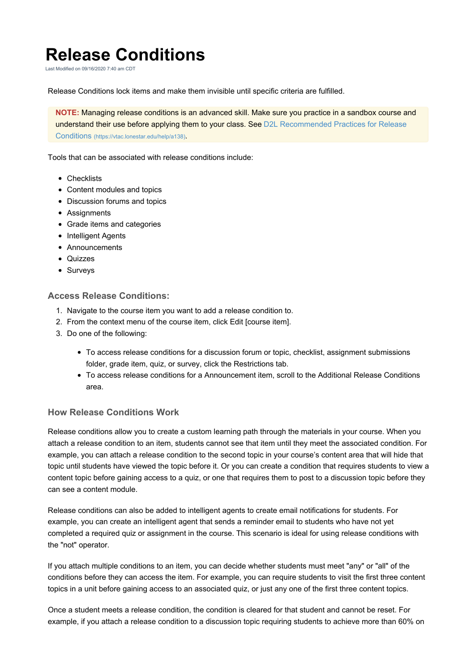## **Release Conditions**

Last Modified on 09/16/2020 7:40 am CDT

Release Conditions lock items and make them invisible until specific criteria are fulfilled.

**NOTE:** Managing release conditions is an advanced skill. Make sure you practice in a sandbox course and understand their use before applying them to your class. See D2L Recommended Practices for Release Conditions (https://vtac.lonestar.edu/help/a138).

Tools that can be associated with release conditions include:

- Checklists
- Content modules and topics
- Discussion forums and topics
- Assignments
- Grade items and categories
- Intelligent Agents
- Announcements
- Quizzes
- Surveys

## **Access Release Conditions:**

- 1. Navigate to the course item you want to add a release condition to.
- 2. From the context menu of the course item, click Edit [course item].
- 3. Do one of the following:
	- To access release conditions for a discussion forum or topic, checklist, assignment submissions folder, grade item, quiz, or survey, click the Restrictions tab.
	- To access release conditions for a Announcement item, scroll to the Additional Release Conditions area.

## **How Release Conditions Work**

Release conditions allow you to create a custom learning path through the materials in your course. When you attach a release condition to an item, students cannot see that item until they meet the associated condition. For example, you can attach a release condition to the second topic in your course's content area that will hide that topic until students have viewed the topic before it. Or you can create a condition that requires students to view a content topic before gaining access to a quiz, or one that requires them to post to a discussion topic before they can see a content module.

Release conditions can also be added to intelligent agents to create email notifications for students. For example, you can create an intelligent agent that sends a reminder email to students who have not yet completed a required quiz or assignment in the course. This scenario is ideal for using release conditions with the "not" operator.

If you attach multiple conditions to an item, you can decide whether students must meet "any" or "all" of the conditions before they can access the item. For example, you can require students to visit the first three content topics in a unit before gaining access to an associated quiz, or just any one of the first three content topics.

Once a student meets a release condition, the condition is cleared for that student and cannot be reset. For example, if you attach a release condition to a discussion topic requiring students to achieve more than 60% on